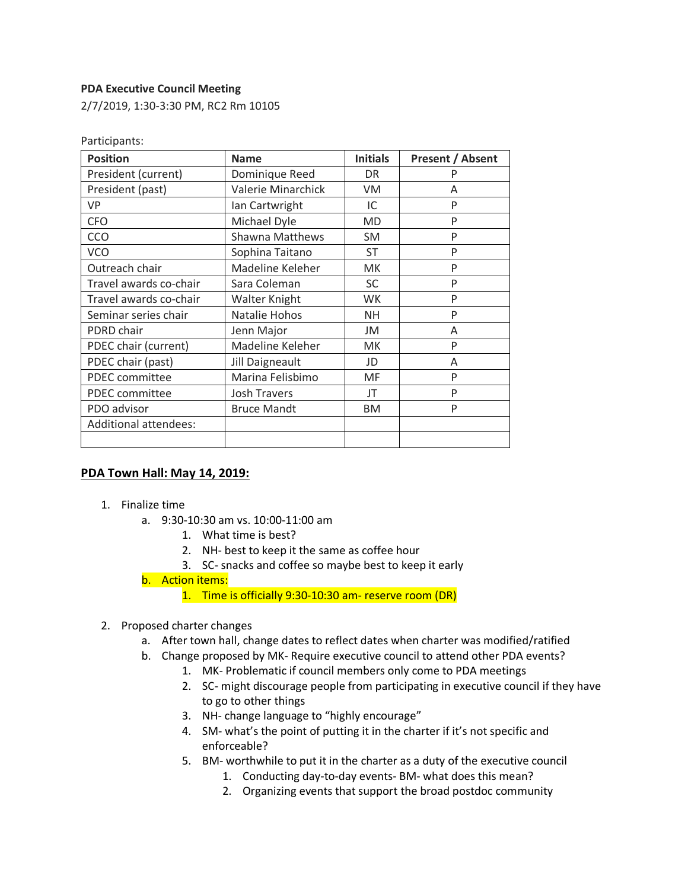## **PDA Executive Council Meeting**

2/7/2019, 1:30-3:30 PM, RC2 Rm 10105

| <b>Position</b>              | <b>Name</b>            | <b>Initials</b> | <b>Present / Absent</b> |
|------------------------------|------------------------|-----------------|-------------------------|
| President (current)          | Dominique Reed         | DR.             | P                       |
| President (past)             | Valerie Minarchick     | VM              | A                       |
| <b>VP</b>                    | Ian Cartwright         | IC              | P                       |
| <b>CFO</b>                   | Michael Dyle           | <b>MD</b>       | P                       |
| CCO                          | <b>Shawna Matthews</b> | <b>SM</b>       | P                       |
| <b>VCO</b>                   | Sophina Taitano        | ST              | P                       |
| Outreach chair               | Madeline Keleher       | <b>MK</b>       | P                       |
| Travel awards co-chair       | Sara Coleman           | <b>SC</b>       | P                       |
| Travel awards co-chair       | Walter Knight          | <b>WK</b>       | P                       |
| Seminar series chair         | Natalie Hohos          | <b>NH</b>       | P                       |
| PDRD chair                   | Jenn Major             | JM              | A                       |
| PDEC chair (current)         | Madeline Keleher       | <b>MK</b>       | P                       |
| PDEC chair (past)            | Jill Daigneault        | JD              | A                       |
| PDEC committee               | Marina Felisbimo       | MF              | P                       |
| PDEC committee               | Josh Travers           | JT              | P                       |
| PDO advisor                  | <b>Bruce Mandt</b>     | <b>BM</b>       | P                       |
| <b>Additional attendees:</b> |                        |                 |                         |
|                              |                        |                 |                         |

Participants:

## **PDA Town Hall: May 14, 2019:**

- 1. Finalize time
	- a. 9:30-10:30 am vs. 10:00-11:00 am
		- 1. What time is best?
		- 2. NH- best to keep it the same as coffee hour
		- 3. SC- snacks and coffee so maybe best to keep it early
	- b. Action items:
		- 1. Time is officially 9:30-10:30 am- reserve room (DR)
- 2. Proposed charter changes
	- a. After town hall, change dates to reflect dates when charter was modified/ratified
	- b. Change proposed by MK- Require executive council to attend other PDA events?
		- 1. MK- Problematic if council members only come to PDA meetings
		- 2. SC- might discourage people from participating in executive council if they have to go to other things
		- 3. NH- change language to "highly encourage"
		- 4. SM- what's the point of putting it in the charter if it's not specific and enforceable?
		- 5. BM- worthwhile to put it in the charter as a duty of the executive council
			- 1. Conducting day-to-day events- BM- what does this mean?
			- 2. Organizing events that support the broad postdoc community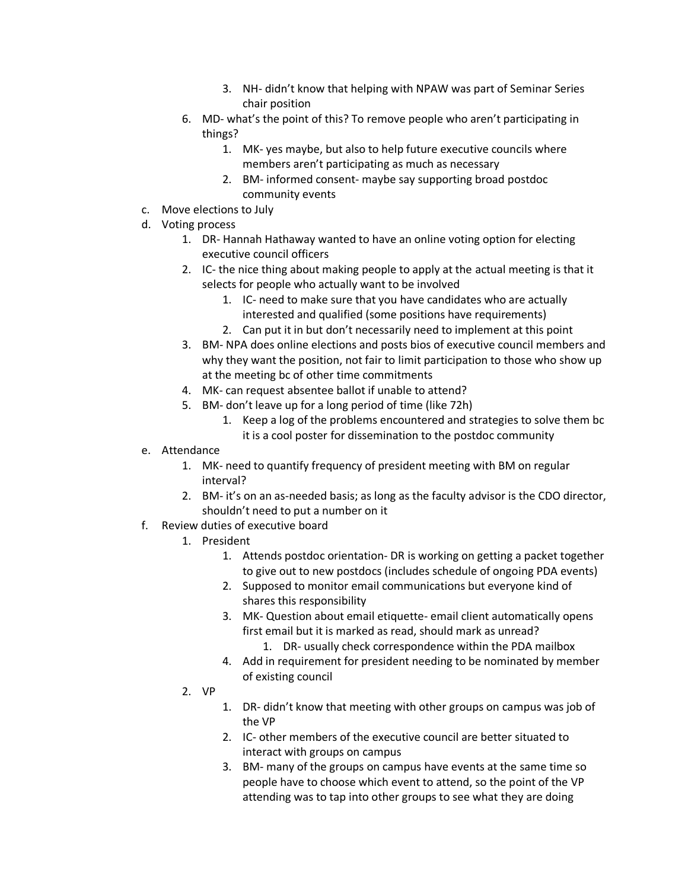- 3. NH- didn't know that helping with NPAW was part of Seminar Series chair position
- 6. MD- what's the point of this? To remove people who aren't participating in things?
	- 1. MK- yes maybe, but also to help future executive councils where members aren't participating as much as necessary
	- 2. BM- informed consent- maybe say supporting broad postdoc community events
- c. Move elections to July
- d. Voting process
	- 1. DR- Hannah Hathaway wanted to have an online voting option for electing executive council officers
	- 2. IC- the nice thing about making people to apply at the actual meeting is that it selects for people who actually want to be involved
		- 1. IC- need to make sure that you have candidates who are actually interested and qualified (some positions have requirements)
		- 2. Can put it in but don't necessarily need to implement at this point
	- 3. BM- NPA does online elections and posts bios of executive council members and why they want the position, not fair to limit participation to those who show up at the meeting bc of other time commitments
	- 4. MK- can request absentee ballot if unable to attend?
	- 5. BM- don't leave up for a long period of time (like 72h)
		- 1. Keep a log of the problems encountered and strategies to solve them bc it is a cool poster for dissemination to the postdoc community
- e. Attendance
	- 1. MK- need to quantify frequency of president meeting with BM on regular interval?
	- 2. BM- it's on an as-needed basis; as long as the faculty advisor is the CDO director, shouldn't need to put a number on it
- f. Review duties of executive board
	- 1. President
		- 1. Attends postdoc orientation- DR is working on getting a packet together to give out to new postdocs (includes schedule of ongoing PDA events)
		- 2. Supposed to monitor email communications but everyone kind of shares this responsibility
		- 3. MK- Question about email etiquette- email client automatically opens first email but it is marked as read, should mark as unread?
			- 1. DR- usually check correspondence within the PDA mailbox
		- 4. Add in requirement for president needing to be nominated by member of existing council
	- 2. VP
		- 1. DR- didn't know that meeting with other groups on campus was job of the VP
		- 2. IC- other members of the executive council are better situated to interact with groups on campus
		- 3. BM- many of the groups on campus have events at the same time so people have to choose which event to attend, so the point of the VP attending was to tap into other groups to see what they are doing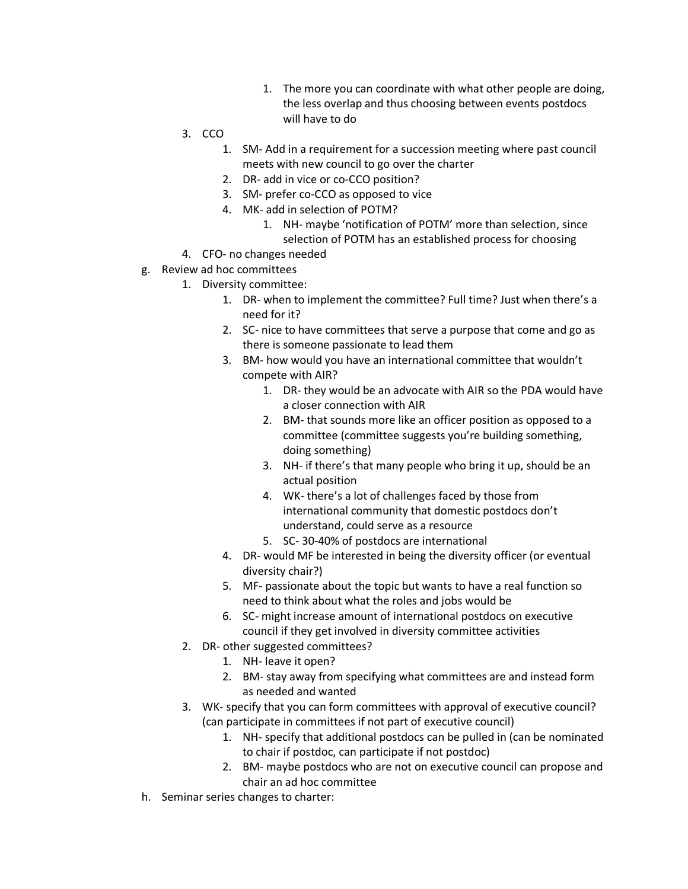- 1. The more you can coordinate with what other people are doing, the less overlap and thus choosing between events postdocs will have to do
- 3. CCO
	- 1. SM- Add in a requirement for a succession meeting where past council meets with new council to go over the charter
	- 2. DR- add in vice or co-CCO position?
	- 3. SM- prefer co-CCO as opposed to vice
	- 4. MK- add in selection of POTM?
		- 1. NH- maybe 'notification of POTM' more than selection, since selection of POTM has an established process for choosing
- 4. CFO- no changes needed
- g. Review ad hoc committees
	- 1. Diversity committee:
		- 1. DR- when to implement the committee? Full time? Just when there's a need for it?
		- 2. SC- nice to have committees that serve a purpose that come and go as there is someone passionate to lead them
		- 3. BM- how would you have an international committee that wouldn't compete with AIR?
			- 1. DR- they would be an advocate with AIR so the PDA would have a closer connection with AIR
			- 2. BM- that sounds more like an officer position as opposed to a committee (committee suggests you're building something, doing something)
			- 3. NH- if there's that many people who bring it up, should be an actual position
			- 4. WK- there's a lot of challenges faced by those from international community that domestic postdocs don't understand, could serve as a resource
			- 5. SC- 30-40% of postdocs are international
		- 4. DR- would MF be interested in being the diversity officer (or eventual diversity chair?)
		- 5. MF- passionate about the topic but wants to have a real function so need to think about what the roles and jobs would be
		- 6. SC- might increase amount of international postdocs on executive council if they get involved in diversity committee activities
	- 2. DR- other suggested committees?
		- 1. NH- leave it open?
		- 2. BM- stay away from specifying what committees are and instead form as needed and wanted
	- 3. WK- specify that you can form committees with approval of executive council? (can participate in committees if not part of executive council)
		- 1. NH- specify that additional postdocs can be pulled in (can be nominated to chair if postdoc, can participate if not postdoc)
		- 2. BM- maybe postdocs who are not on executive council can propose and chair an ad hoc committee
- h. Seminar series changes to charter: